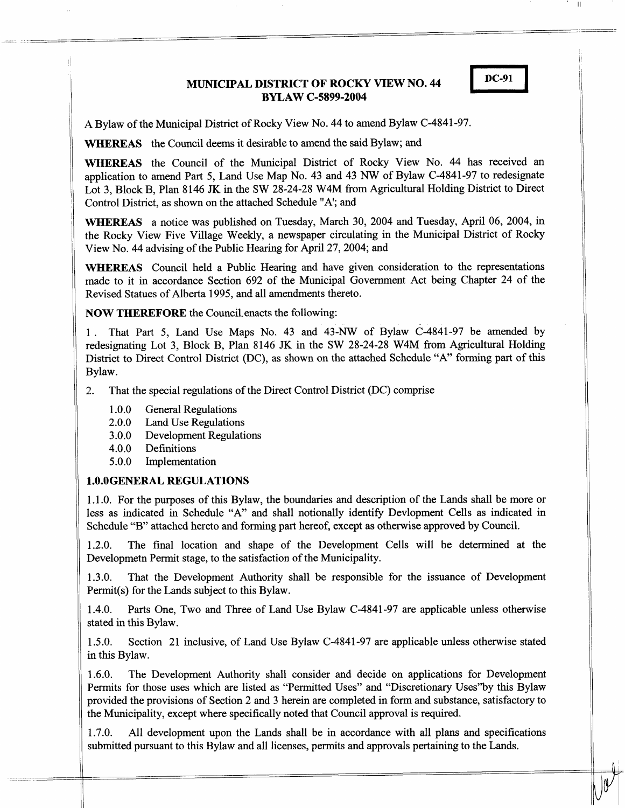# **MUNICIPAL DISTRICT OF ROCKY VIEW NO. 44 BYLAW C-5899-2004**



**A** Bylaw of the Municipal District of Rocky View No. 44 to amend Bylaw C-4841-97.

**WHEREAS** the Council deems it desirable to amend the said Bylaw; and

. I **DC-91 I WHEREAS** the Council of the Municipal District of Rocky View No. 44 has received an application to amend Part *5,* Land Use Map No. 43 and 43 *NW* of Bylaw C-4841-97 to redesignate Lot **3,** Block B, Plan 8146 **JK** in the SW 28-24-28 W4M from Agricultural Holding District to Direct Control District, as shown on the attached Schedule "A'; and

**WHEREAS** a notice was published on Tuesday, March 30, 2004 and Tuesday, April 06, 2004, in the Rocky View Five Village Weekly, a newspaper circulating in the Municipal District of Rocky View No. 44 advising of the Public Hearing for April 27,2004; and

**WHEREAS** Council held a Public Hearing and have given consideration to the representations rnade to it in accordance Section 692 of the Municipal Government Act being Chapter 24 of the Revised Statues of Alberta 1995, and all amendments thereto.

**NOW THEREFORE** the Council enacts the following:

1 . That Part *5,* Land Use Maps No. 43 and 43-NW of Bylaw C-4841-97 be amended by redesignating Lot 3, Block B, Plan 8146 **JK** in the SW 28-24-28 W4M from Agricultural Holding District to Direct Control District (DC), as shown on the attached Schedule "A" forming part of this Bylaw.

- 2. That the special regulations of the Direct Control District (DC) comprise
	- 1 .O.O General Regulations
	- 2.0.0 Land Use Regulations
	- 3 .O.O Development Regulations
	- 4.0.0 Definitions
	- 5.0.0 Implementation

### **1.0.0GENERAL REGULATIONS**

1.1 .O. For the purposes of this Bylaw, the boundaries and description of the Lands shall be more or less as indicated in Schedule "A" and shall notionally identify Devlopment Cells **as** indicated in Schedule "B" attached hereto and forming part hereof, except as otherwise approved by Council.

1.2.0. The final location and shape of the Development Cells will be determined at the Developmetn Permit stage, to the satisfaction of the Municipality.

1.3.0. That the Development Authority shall be responsible for the issuance of Development Permit(s) for the Lands subject to this Bylaw.

1.4.0. Parts One, Two and Three of Land Use Bylaw C-4841-97 are applicable unless otherwise stated in this Bylaw.

1.5.0. Section 21 inclusive, of Land Use Bylaw C-4841-97 are applicable unless otherwise stated in this Bylaw.

1.6.0. The Development Authority shall consider and decide on applications for Development Permits for those uses which are listed as "Permitted Uses" and "Discretionary Uses"by this Bylaw provided the provisions of Section 2 and 3 herein are completed in form and substance, satisfactory to the Municipality, except where specifically noted that Council approval is required.

1.7.0. All development upon the Lands shall be in accordance with all plans and specifications submitted pursuant to this Bylaw and all licenses, permits and approvals pertaining to the Lands.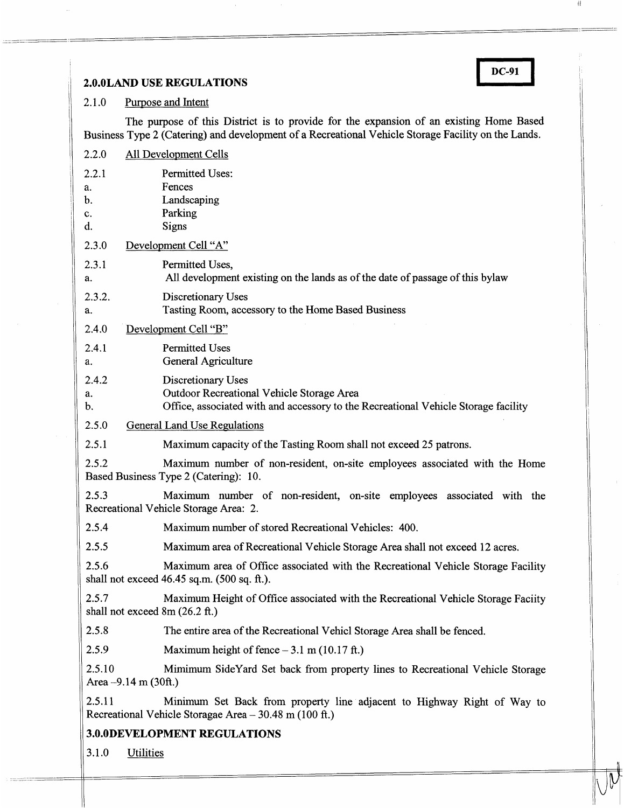# 2.1.0 Purpose and Intent

**2.0.0LAND USE REGULATIONS**<br> **2.1.0** Purpose and Intent<br>
The nurpose of this District is to provide for the expansion of an existing Home Based The purpose of this District is to provide for the expansion of an existing Home Based Business Type 2 (Catering) and development of a Recreational Vehicle Storage Facility on the Lands.

| 2.2.0                                                                                                                        | All Development Cells                                                                                                                                 |  |
|------------------------------------------------------------------------------------------------------------------------------|-------------------------------------------------------------------------------------------------------------------------------------------------------|--|
| 2.2.1<br>a.<br>b.<br>c.<br>d.                                                                                                | <b>Permitted Uses:</b><br>Fences<br>Landscaping<br>Parking<br>Signs                                                                                   |  |
| 2.3.0                                                                                                                        | Development Cell "A"                                                                                                                                  |  |
| 2.3.1<br>a.                                                                                                                  | Permitted Uses.<br>All development existing on the lands as of the date of passage of this bylaw                                                      |  |
| 2.3.2.<br>a.                                                                                                                 | Discretionary Uses<br>Tasting Room, accessory to the Home Based Business                                                                              |  |
| 2.4.0<br>Development Cell "B"                                                                                                |                                                                                                                                                       |  |
| 2.4.1<br>a.                                                                                                                  | <b>Permitted Uses</b><br>General Agriculture                                                                                                          |  |
| 2.4.2<br>a.<br>b.                                                                                                            | Discretionary Uses<br>Outdoor Recreational Vehicle Storage Area<br>Office, associated with and accessory to the Recreational Vehicle Storage facility |  |
| 2.5.0                                                                                                                        | <b>General Land Use Regulations</b>                                                                                                                   |  |
| 2.5.1                                                                                                                        | Maximum capacity of the Tasting Room shall not exceed 25 patrons.                                                                                     |  |
| 2.5.2<br>Maximum number of non-resident, on-site employees associated with the Home<br>Based Business Type 2 (Catering): 10. |                                                                                                                                                       |  |
| 2.5.3                                                                                                                        | Maximum number of non-resident, on-site employees associated with the<br>Recreational Vehicle Storage Area: 2.                                        |  |
| 2.5.4                                                                                                                        | Maximum number of stored Recreational Vehicles: 400.                                                                                                  |  |
| 2.5.5                                                                                                                        | Maximum area of Recreational Vehicle Storage Area shall not exceed 12 acres.                                                                          |  |
| 2.5.6                                                                                                                        | Maximum area of Office associated with the Recreational Vehicle Storage Facility<br>shall not exceed $46.45$ sq.m. $(500 \text{ sq. ft.})$ .          |  |
| 2.5.7                                                                                                                        | Maximum Height of Office associated with the Recreational Vehicle Storage Faciity<br>shall not exceed $8m(26.2 ft.)$                                  |  |
| 2.5.8                                                                                                                        | The entire area of the Recreational Vehicl Storage Area shall be fenced.                                                                              |  |
| 2.5.9                                                                                                                        | Maximum height of fence $-3.1$ m (10.17 ft.)                                                                                                          |  |
| 2.5.10                                                                                                                       | Mimimum SideYard Set back from property lines to Recreational Vehicle Storage<br>Area $-9.14$ m (30ft.)                                               |  |
| 2.5.11                                                                                                                       | Minimum Set Back from property line adjacent to Highway Right of Way to<br>Recreational Vehicle Storagae Area - 30.48 m (100 ft.)                     |  |
| <b>3.0.0DEVELOPMENT REGULATIONS</b>                                                                                          |                                                                                                                                                       |  |
| 3.1.0<br><b>Utilities</b>                                                                                                    |                                                                                                                                                       |  |
|                                                                                                                              |                                                                                                                                                       |  |

 $\overline{\mathcal{V}}$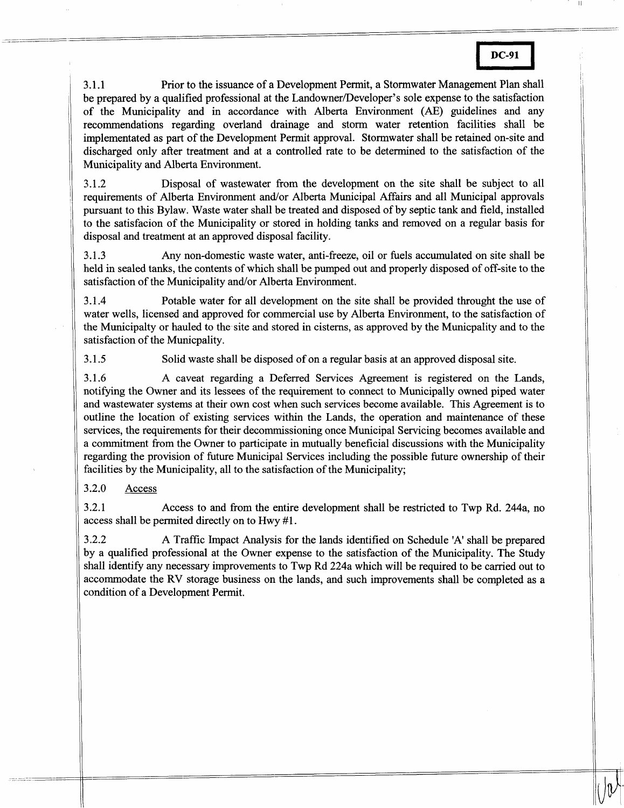| DC-91 |  |
|-------|--|
|       |  |

|<br>|<br>|UV |

**3.1.1** Prior to the issuance of a Development Permit, a Stormwater Management Plan shall be prepared by a qualified professional at the Landowner/Developer's sole expense to the satisfaction If the Municipality and in accordance with Alberta Environment (AE) guidelines and any recommendations regarding overland drainage and storm water retention facilities shall be mplementated as part of the Development Permit approval. Stormwater shall be retained on-site and discharged only after treatment and at a controlled rate to be determined to the satisfaction of the Municipality and Alberta Environment.

3.1.2 Disposal of wastewater from the development on the site shall be subject to all requirements of Alberta Environment and/or Alberta Municipal Affairs and all Municipal approvals pursuant to this Bylaw. Waste water shall be treated and disposed of by septic tank and field, installed **<sup>10</sup>**the satisfacion of the Municipality or stored in holding tanks and removed on a regular basis for disposal and treatment at an approved disposal facility.

3.1.3 Any non-domestic waste water, anti-freeze, oil or fuels accumulated on site shall be held in sealed tanks, the contents of which shall be pumped out and properly disposed of off-site to the satisfaction of the Municipality and/or Alberta Environment.

3.1.4 Potable water for all development on the site shall be provided throught the use of water wells, licensed and approved for commercial use by Alberta Environment, to the satisfaction of .he Municipalty or hauled to the site and stored in cisterns, as approved by the Municpality and to the satisfaction of the Municpality.

3.1.5 Solid waste shall be disposed of on a regular basis at an approved disposal site.

3.1.6 A caveat regarding a Deferred Services Agreement is registered on the Lands, notifying the Owner and its lessees of the requirement to connect to Municipally owned piped water md wastewater systems at their own cost when such services become available. This Agreement is to outline the location of existing services within the Lands, the operation and maintenance of these services, the requirements for their decommissioning once Municipal Servicing becomes available and a commitment from the Owner to participate in mutually beneficial discussions with the Municipality regarding the provision of future Municipal Services including the possible future ownership of their facilities by the Municipality, all to the satisfaction of the Municipality;

3.2.0 Access

3.2.1 Access to and from the entire development shall be restricted to Twp Rd. 244a, no access shall be permited directly on to Hwy #1.

3.2.2 A Traffic Impact Analysis for the lands identified on Schedule 'A' shall be prepared by a qualified professional at the Owner expense to the satisfaction of the Municipality. The Study hall identify any necessary improvements to Twp Rd 224a which will be required to be carried out to accommodate the RV storage business on the lands, and such improvements shall be completed as a condition of a Development Permit.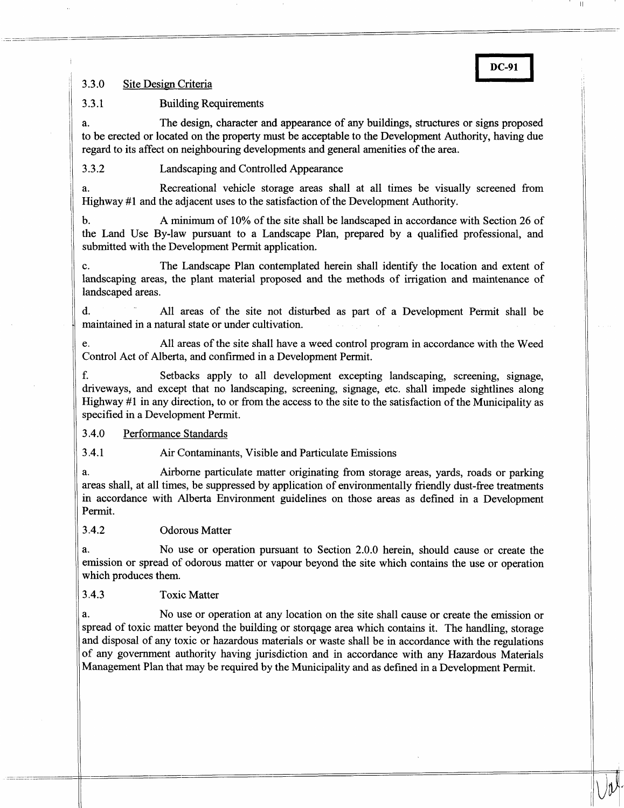# 3.3.0 Site Design Criteria

-

# 3.3.1 Building Requirements

a. The design, character and appearance of any buildings, structures or signs proposed to be erected or located on the property must be acceptable to the Development Authority, having due regard to its affect on neighbouring developments and general amenities of the area.

~~ \_\_\_-\_\_

**DC-91** 

**3.3.2** Landscaping and Controlled Appearance

a. Recreational vehicle storage areas shall at all times be visually screened from Highway #1 and the adjacent uses to the satisfaction of the Development Authority.

b. A minimum of 10% of the site shall be landscaped in accordance with Section **26** of the Land Use By-law pursuant to a Landscape Plan, prepared by a qualified professional, and submitted with the Development Permit application.

landscaping areas, the plant material proposed and the methods of irrigation and maintenance of landscaped areas. ,. The Landscape Plan contemplated herein shall identify the location and extent of

**t.** All areas of the site not disturbed as part of a Development Permit shall be maintained in a natural state or under cultivation.

Control Act of Alberta, and confirmed in a Development Permit. e. All areas of the site shall have a weed control program in accordance with the Weed

f. Setbacks apply to all development excepting landscaping, screening, signage, driveways, and except that no landscaping, screening, signage, etc. shall impede sightlines along lighway #I in any direction, to or from the access to the site to the satisfaction of the Municipality as specified in a Development Permit.

1.4.0 Performance Standards

I .4.1 Air Contaminants, Visible and Particulate Emissions

**1.** Airborne particulate matter originating from storage areas, yards, roads or parking areas shall, at all times, be suppressed by application of environmentally friendly dust-free treatments n accordance with Alberta Environment guidelines on those areas as defined in a Development Permit.

# **1..4.2** Odorous Matter

**1.** No use or operation pursuant to Section 2.0.0 herein, should cause or create the mission or spread of odorous matter or vapour beyond the site which contains the use or operation which produces them.

1.4.3 Toxic Matter

**1.** No use or operation at any location on the site shall cause or create the emission or spread of toxic matter beyond the building or storqage area which contains it. The handling, storage and disposal of any toxic or hazardous materials or waste shall be in accordance with the regulations )f any government authority having jurisdiction and in accordance with any Hazardous Materials Management Plan that may be required by the Municipality and as defined in a Development Permit.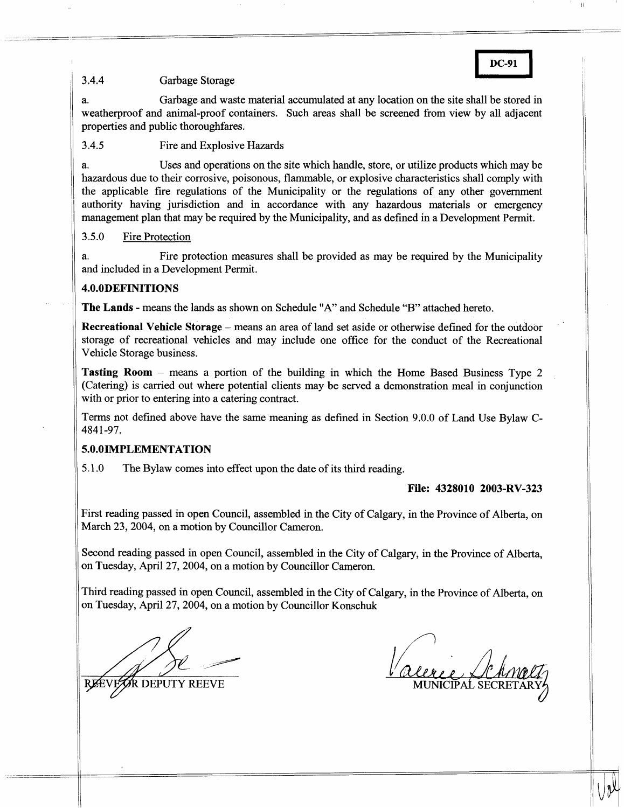### $3.4.4$ Garbage Storage

\_\_ - ---- \_\_ --\_--

---- \_\_\_

a. Garbage and waste material accumulated at any location on the site shall be stored in DC-91<br>
all be stored in<br>
by all adiacent weatherproof and animal-proof containers. Such areas shall be screened from view by all adjacent properties and public thoroughfares.

# 3.4.5 Fire and Explosive Hazards

a. Uses and operations on the site which handle, store, or utilize products which may be hazardous due to their corrosive, poisonous, flammable, or explosive characteristics shall comply with the applicable fire regulations of the Municipality or the regulations of any other government authority having jurisdiction and in accordance with any hazardous materials or emergency management plan that may be required by the Municipality, and as defined in a Development Permit.

# 3.5.0 Fire Protection

a. and included in a Development Permit. Fire protection measures shall be provided as may be required by the Municipality

# **4.O.ODEFINITIONS**

**The Lands** - means the lands as shown on Schedule "A" and Schedule "B" attached hereto.

**Recreational Vehicle Storage** – means an area of land set aside or otherwise defined for the outdoor storage of recreational vehicles and may include one office for the conduct of the Recreational Vehicle Storage business.

**Tasting Room** - means a portion of the building in which the Home Based Business Type 2 (Catering) is carried out where potential clients may be served a demonstration meal in conjunction with or prior to entering into a catering contract.

Terms not defined above have the same meaning **as** defined in Section 9.0.0 of Land Use Bylaw C-4841 -97.

# **5.O.OIMPLEMENTATION**

5.1 .O The Bylaw comes into effect upon the date of its third reading.

# **File: 4328010 2003-RV-323**

First reading passed in open Council, assembled in the City of Calgary, in the Province of Alberta, on March 23, 2004, on a motion by Councillor Cameron.

Second reading passed in open Council, assembled in the City of Calgary, in the Province of Alberta, on Tuesday, April 27,2004, on a motion by Councillor Cameron.

Third reading passed in open Council, assembled in the City of Calgary, in the Province of Alberta, on on Tuesday, April 27,2004, on a motion by Councillor Konschuk

**R DEPUTY REEVE** 

MUNICIPAL SEC